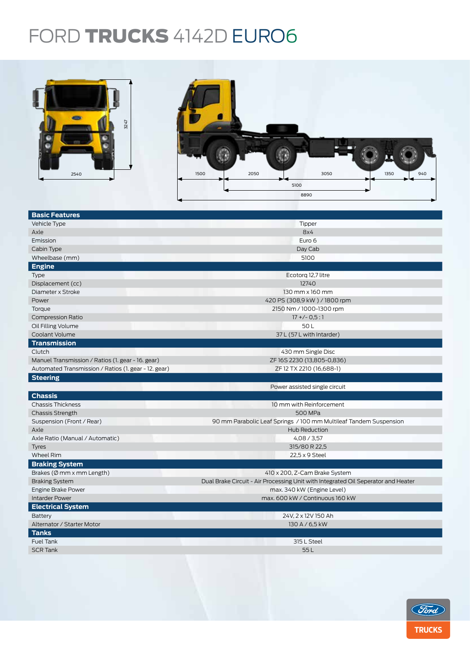## FORD TRUCKS 4142D EURO6



| 3247<br>2540                                         | 2050<br>3050<br>1350<br>1500<br>940<br>5100<br>8890                               |  |  |  |  |
|------------------------------------------------------|-----------------------------------------------------------------------------------|--|--|--|--|
| <b>Basic Features</b>                                |                                                                                   |  |  |  |  |
| Vehicle Type                                         | Tipper                                                                            |  |  |  |  |
| Axle                                                 | 8x4                                                                               |  |  |  |  |
| Emission                                             | Euro 6                                                                            |  |  |  |  |
| Cabin Type                                           | Day Cab                                                                           |  |  |  |  |
| Wheelbase (mm)                                       | 5100                                                                              |  |  |  |  |
| <b>Engine</b>                                        |                                                                                   |  |  |  |  |
| <b>Type</b>                                          | Ecotorq 12,7 litre                                                                |  |  |  |  |
| Displacement (cc)                                    | 12740                                                                             |  |  |  |  |
| Diameter x Stroke                                    | 130 mm x 160 mm                                                                   |  |  |  |  |
| Power                                                | 420 PS (308,9 kW) / 1800 rpm                                                      |  |  |  |  |
| Torque                                               | 2150 Nm / 1000-1300 rpm                                                           |  |  |  |  |
| <b>Compression Ratio</b>                             | $17 + (-0.5:1)$                                                                   |  |  |  |  |
| Oil Filling Volume                                   | 50L                                                                               |  |  |  |  |
| Coolant Volume                                       | 37 L (57 L with Intarder)                                                         |  |  |  |  |
| <b>Transmission</b>                                  |                                                                                   |  |  |  |  |
| Clutch                                               | 430 mm Single Disc                                                                |  |  |  |  |
| Manuel Transmission / Ratios (1. gear - 16. gear)    | ZF 16S 2230 (13,805-0,836)                                                        |  |  |  |  |
| Automated Transmission / Ratios (1. gear - 12. gear) | ZF 12 TX 2210 (16,688-1)                                                          |  |  |  |  |
| <b>Steering</b>                                      |                                                                                   |  |  |  |  |
|                                                      | Power assisted single circuit                                                     |  |  |  |  |
| <b>Chassis</b>                                       |                                                                                   |  |  |  |  |
| <b>Chassis Thickness</b>                             | 10 mm with Reinforcement                                                          |  |  |  |  |
| <b>Chassis Strength</b>                              | 500 MPa                                                                           |  |  |  |  |
| Suspension (Front / Rear)                            | 90 mm Parabolic Leaf Springs / 100 mm Multileaf Tandem Suspension                 |  |  |  |  |
| Axle                                                 | Hub Reduction                                                                     |  |  |  |  |
| Axle Ratio (Manual / Automatic)                      | 4,08/3,57                                                                         |  |  |  |  |
| <b>Tyres</b>                                         | 315/80 R 22,5                                                                     |  |  |  |  |
| Wheel Rim                                            | 22,5 x 9 Steel                                                                    |  |  |  |  |
| <b>Braking System</b>                                |                                                                                   |  |  |  |  |
| Brakes (Ø mm x mm Length)                            | 410 x 200, Z-Cam Brake System                                                     |  |  |  |  |
| <b>Braking System</b>                                | Dual Brake Circuit - Air Processing Unit with Integrated Oil Seperator and Heater |  |  |  |  |
| Engine Brake Power                                   | max. 340 kW (Engine Level)                                                        |  |  |  |  |
| <b>Intarder Power</b>                                | max. 600 kW / Continuous 160 kW                                                   |  |  |  |  |
| <b>Electrical System</b>                             |                                                                                   |  |  |  |  |
| Battery                                              | 24V, 2 x 12V 150 Ah                                                               |  |  |  |  |
| Alternator / Starter Motor                           | 130 A / 6,5 kW                                                                    |  |  |  |  |
| <b>Tanks</b>                                         |                                                                                   |  |  |  |  |
| Fuel Tank                                            | 315 L Steel                                                                       |  |  |  |  |
| <b>SCR Tank</b>                                      | 55L                                                                               |  |  |  |  |
|                                                      |                                                                                   |  |  |  |  |
|                                                      |                                                                                   |  |  |  |  |